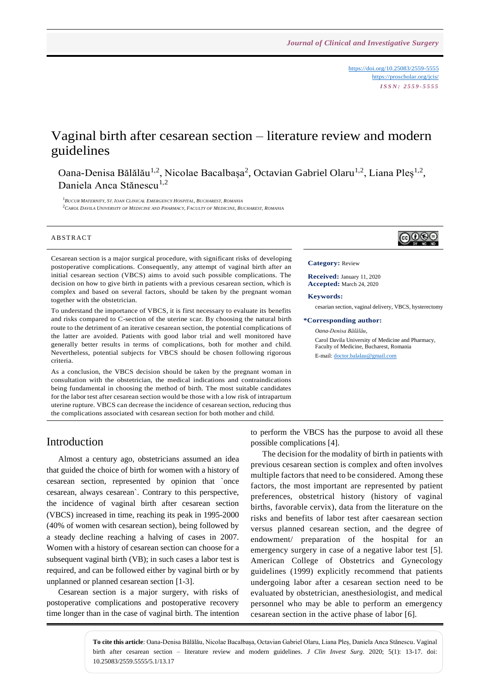<https://doi.org/10.25083/2559-5555> <https://proscholar.org/jcis/> *I S S N : 2 5 5 9 - 5 5 5 5*

# Vaginal birth after cesarean section – literature review and modern guidelines

Oana-Denisa Bălălău<sup>1,2</sup>, Nicolae Bacalbașa<sup>2</sup>, Octavian Gabriel Olaru<sup>1,2</sup>, Liana Pleș<sup>1,2</sup>, Daniela Anca Stănescu<sup>1,2</sup>

 $^1$ Bucur Maternity, St. Ioan Clinical Emergency Hospital, Bucharest, Romania <sup>2</sup> CAROL DAVILA UNIVERSITY OF MEDICINE AND PHARMACY, FACULTY OF MEDICINE, BUCHAREST, ROMANIA

#### **ABSTRACT**

Cesarean section is a major surgical procedure, with significant risks of developing postoperative complications. Consequently, any attempt of vaginal birth after an initial cesarean section (VBCS) aims to avoid such possible complications. The decision on how to give birth in patients with a previous cesarean section, which is complex and based on several factors, should be taken by the pregnant woman together with the obstetrician.

To understand the importance of VBCS, it is first necessary to evaluate its benefits and risks compared to C-section of the uterine scar. By choosing the natural birth route to the detriment of an iterative cesarean section, the potential complications of the latter are avoided. Patients with good labor trial and well monitored have generally better results in terms of complications, both for mother and child. Nevertheless, potential subjects for VBCS should be chosen following rigorous criteria.

As a conclusion, the VBCS decision should be taken by the pregnant woman in consultation with the obstetrician, the medical indications and contraindications being fundamental in choosing the method of birth. The most suitable candidates for the labor test after cesarean section would be those with a low risk of intrapartum uterine rupture. VBCS can decrease the incidence of cesarean section, reducing thus the complications associated with cesarean section for both mother and child.

# ெ⊛

#### **Category:** Review

**Received:** January 11, 2020 **Accepted:** March 24, 2020

#### **Keywords:**

cesarian section, vaginal delivery, VBCS, hysterectomy

#### **\*Corresponding author:**

*Oana-Denisa Bălălău*, Carol Davila University of Medicine and Pharmacy, Faculty of Medicine, Bucharest, Romania E-mail[: doctor.balalau@gmail.com](mailto:doctor.balalau@gmail.com)

### Introduction

Almost a century ago, obstetricians assumed an idea that guided the choice of birth for women with a history of cesarean section, represented by opinion that `once cesarean, always cesarean`. Contrary to this perspective, the incidence of vaginal birth after cesarean section (VBCS) increased in time, reaching its peak in 1995-2000 (40% of women with cesarean section), being followed by a steady decline reaching a halving of cases in 2007. Women with a history of cesarean section can choose for a subsequent vaginal birth (VB); in such cases a labor test is required, and can be followed either by vaginal birth or by unplanned or planned cesarean section [1-3].

Cesarean section is a major surgery, with risks of postoperative complications and postoperative recovery time longer than in the case of vaginal birth. The intention to perform the VBCS has the purpose to avoid all these possible complications [4].

The decision for the modality of birth in patients with previous cesarean section is complex and often involves multiple factors that need to be considered. Among these factors, the most important are represented by patient preferences, obstetrical history (history of vaginal births, favorable cervix), data from the literature on the risks and benefits of labor test after caesarean section versus planned cesarean section, and the degree of endowment/ preparation of the hospital for an emergency surgery in case of a negative labor test [5]. American College of Obstetrics and Gynecology guidelines (1999) explicitly recommend that patients undergoing labor after a cesarean section need to be evaluated by obstetrician, anesthesiologist, and medical personnel who may be able to perform an emergency cesarean section in the active phase of labor [6].

**To cite this article**: Oana-Denisa Bălălău, Nicolae Bacalbașa, Octavian Gabriel Olaru, Liana Pleș, Daniela Anca Stănescu. Vaginal birth after cesarean section – literature review and modern guidelines. *J Clin Invest Surg*. 2020; 5(1): 13-17. doi: 10.25083/2559.5555/5.1/13.17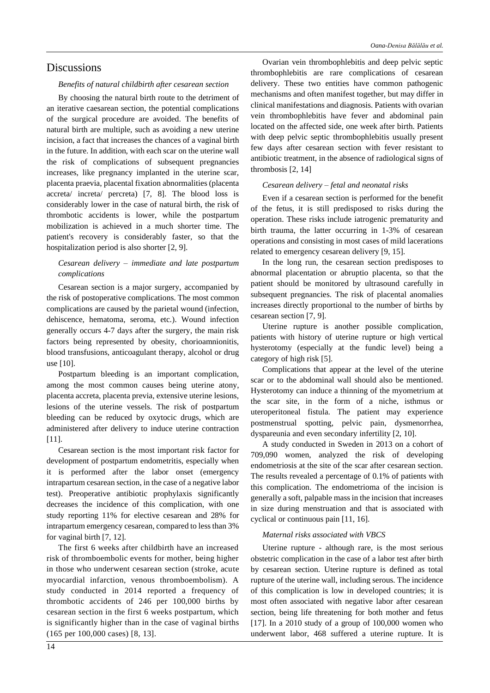#### *Benefits of natural childbirth after cesarean section*

By choosing the natural birth route to the detriment of an iterative caesarean section, the potential complications of the surgical procedure are avoided. The benefits of natural birth are multiple, such as avoiding a new uterine incision, a fact that increases the chances of a vaginal birth in the future. In addition, with each scar on the uterine wall the risk of complications of subsequent pregnancies increases, like pregnancy implanted in the uterine scar, placenta praevia, placental fixation abnormalities (placenta accreta/ increta/ percreta) [7, 8]. The blood loss is considerably lower in the case of natural birth, the risk of thrombotic accidents is lower, while the postpartum mobilization is achieved in a much shorter time. The patient's recovery is considerably faster, so that the hospitalization period is also shorter [2, 9].

### *Cesarean delivery – immediate and late postpartum complications*

Cesarean section is a major surgery, accompanied by the risk of postoperative complications. The most common complications are caused by the parietal wound (infection, dehiscence, hematoma, seroma, etc.). Wound infection generally occurs 4-7 days after the surgery, the main risk factors being represented by obesity, chorioamnionitis, blood transfusions, anticoagulant therapy, alcohol or drug use [10].

Postpartum bleeding is an important complication, among the most common causes being uterine atony, placenta accreta, placenta previa, extensive uterine lesions, lesions of the uterine vessels. The risk of postpartum bleeding can be reduced by oxytocic drugs, which are administered after delivery to induce uterine contraction [11].

Cesarean section is the most important risk factor for development of postpartum endometritis, especially when it is performed after the labor onset (emergency intrapartum cesarean section, in the case of a negative labor test). Preoperative antibiotic prophylaxis significantly decreases the incidence of this complication, with one study reporting 11% for elective cesarean and 28% for intrapartum emergency cesarean, compared to less than 3% for vaginal birth [7, 12].

The first 6 weeks after childbirth have an increased risk of thromboembolic events for mother, being higher in those who underwent cesarean section (stroke, acute myocardial infarction, venous thromboembolism). A study conducted in 2014 reported a frequency of thrombotic accidents of 246 per 100,000 births by cesarean section in the first 6 weeks postpartum, which is significantly higher than in the case of vaginal births (165 per 100,000 cases) [8, 13].

Ovarian vein thrombophlebitis and deep pelvic septic thrombophlebitis are rare complications of cesarean delivery. These two entities have common pathogenic mechanisms and often manifest together, but may differ in clinical manifestations and diagnosis. Patients with ovarian vein thrombophlebitis have fever and abdominal pain located on the affected side, one week after birth. Patients with deep pelvic septic thrombophlebitis usually present few days after cesarean section with fever resistant to antibiotic treatment, in the absence of radiological signs of thrombosis [2, 14]

### *Cesarean delivery – fetal and neonatal risks*

Even if a cesarean section is performed for the benefit of the fetus, it is still predisposed to risks during the operation. These risks include iatrogenic prematurity and birth trauma, the latter occurring in 1-3% of cesarean operations and consisting in most cases of mild lacerations related to emergency cesarean delivery [9, 15].

In the long run, the cesarean section predisposes to abnormal placentation or abruptio placenta, so that the patient should be monitored by ultrasound carefully in subsequent pregnancies. The risk of placental anomalies increases directly proportional to the number of births by cesarean section [7, 9].

Uterine rupture is another possible complication, patients with history of uterine rupture or high vertical hysterotomy (especially at the fundic level) being a category of high risk [5].

Complications that appear at the level of the uterine scar or to the abdominal wall should also be mentioned. Hysterotomy can induce a thinning of the myometrium at the scar site, in the form of a niche, isthmus or uteroperitoneal fistula. The patient may experience postmenstrual spotting, pelvic pain, dysmenorrhea, dyspareunia and even secondary infertility [2, 10].

A study conducted in Sweden in 2013 on a cohort of 709,090 women, analyzed the risk of developing endometriosis at the site of the scar after cesarean section. The results revealed a percentage of 0.1% of patients with this complication. The endometrioma of the incision is generally a soft, palpable mass in the incision that increases in size during menstruation and that is associated with cyclical or continuous pain [11, 16].

#### *Maternal risks associated with VBCS*

Uterine rupture - although rare, is the most serious obstetric complication in the case of a labor test after birth by cesarean section. Uterine rupture is defined as total rupture of the uterine wall, including serous. The incidence of this complication is low in developed countries; it is most often associated with negative labor after cesarean section, being life threatening for both mother and fetus [17]. In a 2010 study of a group of 100,000 women who underwent labor, 468 suffered a uterine rupture. It is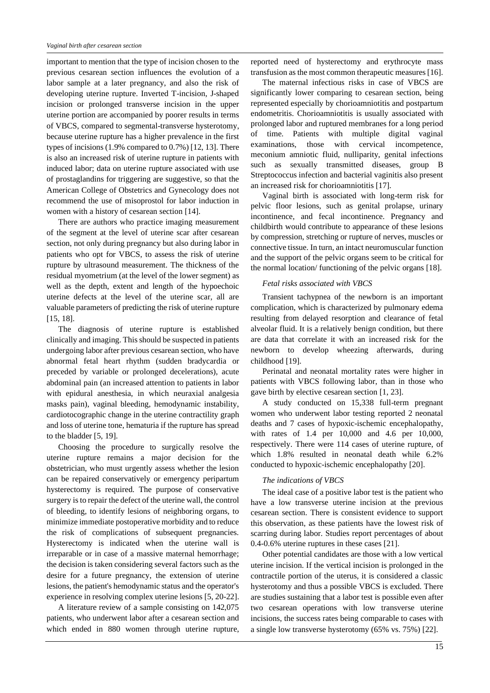important to mention that the type of incision chosen to the previous cesarean section influences the evolution of a labor sample at a later pregnancy, and also the risk of developing uterine rupture. Inverted T-incision, J-shaped incision or prolonged transverse incision in the upper uterine portion are accompanied by poorer results in terms of VBCS, compared to segmental-transverse hysterotomy, because uterine rupture has a higher prevalence in the first types of incisions (1.9% compared to 0.7%) [12, 13]. There is also an increased risk of uterine rupture in patients with induced labor; data on uterine rupture associated with use of prostaglandins for triggering are suggestive, so that the American College of Obstetrics and Gynecology does not recommend the use of misoprostol for labor induction in women with a history of cesarean section [14].

There are authors who practice imaging measurement of the segment at the level of uterine scar after cesarean section, not only during pregnancy but also during labor in patients who opt for VBCS, to assess the risk of uterine rupture by ultrasound measurement. The thickness of the residual myometrium (at the level of the lower segment) as well as the depth, extent and length of the hypoechoic uterine defects at the level of the uterine scar, all are valuable parameters of predicting the risk of uterine rupture [15, 18].

The diagnosis of uterine rupture is established clinically and imaging. This should be suspected in patients undergoing labor after previous cesarean section, who have abnormal fetal heart rhythm (sudden bradycardia or preceded by variable or prolonged decelerations), acute abdominal pain (an increased attention to patients in labor with epidural anesthesia, in which neuraxial analgesia masks pain), vaginal bleeding, hemodynamic instability, cardiotocographic change in the uterine contractility graph and loss of uterine tone, hematuria if the rupture has spread to the bladder [5, 19].

Choosing the procedure to surgically resolve the uterine rupture remains a major decision for the obstetrician, who must urgently assess whether the lesion can be repaired conservatively or emergency peripartum hysterectomy is required. The purpose of conservative surgery is to repair the defect of the uterine wall, the control of bleeding, to identify lesions of neighboring organs, to minimize immediate postoperative morbidity and to reduce the risk of complications of subsequent pregnancies. Hysterectomy is indicated when the uterine wall is irreparable or in case of a massive maternal hemorrhage; the decision is taken considering several factors such as the desire for a future pregnancy, the extension of uterine lesions, the patient's hemodynamic status and the operator's experience in resolving complex uterine lesions [5, 20-22].

A literature review of a sample consisting on 142,075 patients, who underwent labor after a cesarean section and which ended in 880 women through uterine rupture,

reported need of hysterectomy and erythrocyte mass transfusion as the most common therapeutic measures [16].

The maternal infectious risks in case of VBCS are significantly lower comparing to cesarean section, being represented especially by chorioamniotitis and postpartum endometritis. Chorioamniotitis is usually associated with prolonged labor and ruptured membranes for a long period of time. Patients with multiple digital vaginal examinations, those with cervical incompetence, meconium amniotic fluid, nulliparity, genital infections such as sexually transmitted diseases, group B Streptococcus infection and bacterial vaginitis also present an increased risk for chorioamniotitis [17].

Vaginal birth is associated with long-term risk for pelvic floor lesions, such as genital prolapse, urinary incontinence, and fecal incontinence. Pregnancy and childbirth would contribute to appearance of these lesions by compression, stretching or rupture of nerves, muscles or connective tissue. In turn, an intact neuromuscular function and the support of the pelvic organs seem to be critical for the normal location/ functioning of the pelvic organs [18].

#### *Fetal risks associated with VBCS*

Transient tachypnea of the newborn is an important complication, which is characterized by pulmonary edema resulting from delayed resorption and clearance of fetal alveolar fluid. It is a relatively benign condition, but there are data that correlate it with an increased risk for the newborn to develop wheezing afterwards, during childhood [19].

Perinatal and neonatal mortality rates were higher in patients with VBCS following labor, than in those who gave birth by elective cesarean section [1, 23].

A study conducted on 15,338 full-term pregnant women who underwent labor testing reported 2 neonatal deaths and 7 cases of hypoxic-ischemic encephalopathy, with rates of 1.4 per 10,000 and 4.6 per 10,000, respectively. There were 114 cases of uterine rupture, of which 1.8% resulted in neonatal death while 6.2% conducted to hypoxic-ischemic encephalopathy [20].

#### *The indications of VBCS*

The ideal case of a positive labor test is the patient who have a low transverse uterine incision at the previous cesarean section. There is consistent evidence to support this observation, as these patients have the lowest risk of scarring during labor. Studies report percentages of about 0.4-0.6% uterine ruptures in these cases [21].

Other potential candidates are those with a low vertical uterine incision. If the vertical incision is prolonged in the contractile portion of the uterus, it is considered a classic hysterotomy and thus a possible VBCS is excluded. There are studies sustaining that a labor test is possible even after two cesarean operations with low transverse uterine incisions, the success rates being comparable to cases with a single low transverse hysterotomy (65% vs. 75%) [22].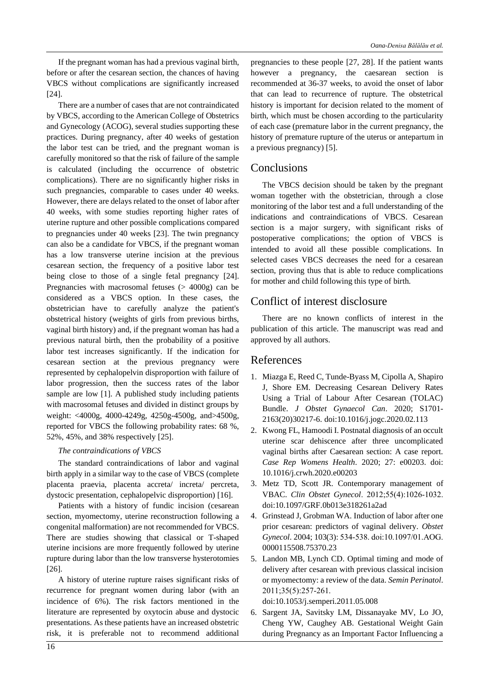If the pregnant woman has had a previous vaginal birth, before or after the cesarean section, the chances of having VBCS without complications are significantly increased [24].

There are a number of cases that are not contraindicated by VBCS, according to the American College of Obstetrics and Gynecology (ACOG), several studies supporting these practices. During pregnancy, after 40 weeks of gestation the labor test can be tried, and the pregnant woman is carefully monitored so that the risk of failure of the sample is calculated (including the occurrence of obstetric complications). There are no significantly higher risks in such pregnancies, comparable to cases under 40 weeks. However, there are delays related to the onset of labor after 40 weeks, with some studies reporting higher rates of uterine rupture and other possible complications compared to pregnancies under 40 weeks [23]. The twin pregnancy can also be a candidate for VBCS, if the pregnant woman has a low transverse uterine incision at the previous cesarean section, the frequency of a positive labor test being close to those of a single fetal pregnancy [24]. Pregnancies with macrosomal fetuses (> 4000g) can be considered as a VBCS option. In these cases, the obstetrician have to carefully analyze the patient's obstetrical history (weights of girls from previous births, vaginal birth history) and, if the pregnant woman has had a previous natural birth, then the probability of a positive labor test increases significantly. If the indication for cesarean section at the previous pregnancy were represented by cephalopelvin disproportion with failure of labor progression, then the success rates of the labor sample are low [1]. A published study including patients with macrosomal fetuses and divided in distinct groups by weight: <4000g, 4000-4249g, 4250g-4500g, and>4500g, reported for VBCS the following probability rates: 68 %, 52%, 45%, and 38% respectively [25].

### *The contraindications of VBCS*

The standard contraindications of labor and vaginal birth apply in a similar way to the case of VBCS (complete placenta praevia, placenta accreta/ increta/ percreta, dystocic presentation, cephalopelvic disproportion) [16].

Patients with a history of fundic incision (cesarean section, myomectomy, uterine reconstruction following a congenital malformation) are not recommended for VBCS. There are studies showing that classical or T-shaped uterine incisions are more frequently followed by uterine rupture during labor than the low transverse hysterotomies [26].

A history of uterine rupture raises significant risks of recurrence for pregnant women during labor (with an incidence of 6%). The risk factors mentioned in the literature are represented by oxytocin abuse and dystocic presentations. As these patients have an increased obstetric risk, it is preferable not to recommend additional

pregnancies to these people [27, 28]. If the patient wants however a pregnancy, the caesarean section is recommended at 36-37 weeks, to avoid the onset of labor that can lead to recurrence of rupture. The obstetrical history is important for decision related to the moment of birth, which must be chosen according to the particularity of each case (premature labor in the current pregnancy, the history of premature rupture of the uterus or antepartum in a previous pregnancy) [5].

# **Conclusions**

The VBCS decision should be taken by the pregnant woman together with the obstetrician, through a close monitoring of the labor test and a full understanding of the indications and contraindications of VBCS. Cesarean section is a major surgery, with significant risks of postoperative complications; the option of VBCS is intended to avoid all these possible complications. In selected cases VBCS decreases the need for a cesarean section, proving thus that is able to reduce complications for mother and child following this type of birth.

# Conflict of interest disclosure

There are no known conflicts of interest in the publication of this article. The manuscript was read and approved by all authors.

## References

- 1. Miazga E, Reed C, Tunde-Byass M, Cipolla A, Shapiro J, Shore EM. Decreasing Cesarean Delivery Rates Using a Trial of Labour After Cesarean (TOLAC) Bundle. *J Obstet Gynaecol Can*. 2020; S1701- 2163(20)30217-6. doi:10.1016/j.jogc.2020.02.113
- 2. Kwong FL, Hamoodi I. Postnatal diagnosis of an occult uterine scar dehiscence after three uncomplicated vaginal births after Caesarean section: A case report. *Case Rep Womens Health*. 2020; 27: e00203. doi: 10.1016/j.crwh.2020.e00203
- 3. Metz TD, Scott JR. Contemporary management of VBAC. *Clin Obstet Gynecol*. 2012;55(4):1026‐1032. doi:10.1097/GRF.0b013e318261a2ad
- 4. Grinstead J, Grobman WA. Induction of labor after one prior cesarean: predictors of vaginal delivery. *Obstet Gynecol*. 2004; 103(3): 534‐538. doi:10.1097/01.AOG. 0000115508.75370.23
- 5. Landon MB, Lynch CD. Optimal timing and mode of delivery after cesarean with previous classical incision or myomectomy: a review of the data. *Semin Perinatol*. 2011;35(5):257‐261.

doi:10.1053/j.semperi.2011.05.008

6. Sargent JA, Savitsky LM, Dissanayake MV, Lo JO, Cheng YW, Caughey AB. Gestational Weight Gain during Pregnancy as an Important Factor Influencing a